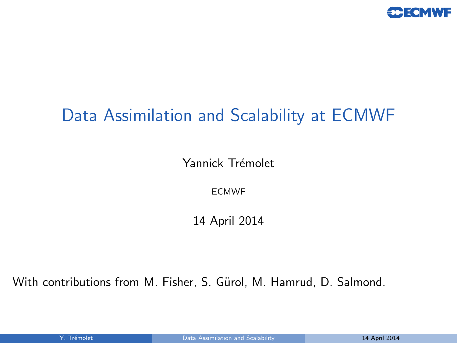

# Data Assimilation and Scalability at ECMWF

Yannick Trémolet

<span id="page-0-0"></span>ECMWF

14 April 2014

With contributions from M. Fisher, S. Gürol, M. Hamrud, D. Salmond.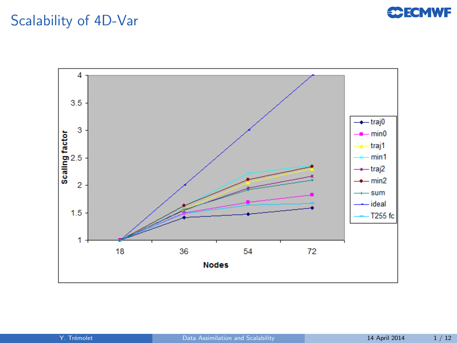#### **C**ECMWF

### Scalability of 4D-Var

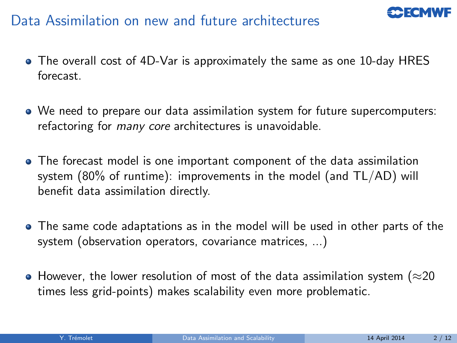## Data Assimilation on new and future architectures



- The overall cost of 4D-Var is approximately the same as one 10-day HRES forecast.
- We need to prepare our data assimilation system for future supercomputers: refactoring for many core architectures is unavoidable.
- The forecast model is one important component of the data assimilation system (80% of runtime): improvements in the model (and TL/AD) will benefit data assimilation directly.
- The same code adaptations as in the model will be used in other parts of the system (observation operators, covariance matrices, ...)
- $\bullet$  However, the lower resolution of most of the data assimilation system ( $\approx$ 20 times less grid-points) makes scalability even more problematic.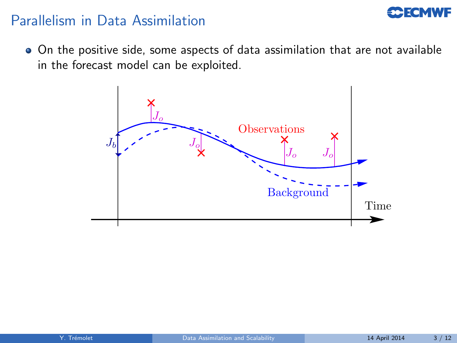#### **CCECMWF**

#### Parallelism in Data Assimilation

On the positive side, some aspects of data assimilation that are not available in the forecast model can be exploited.

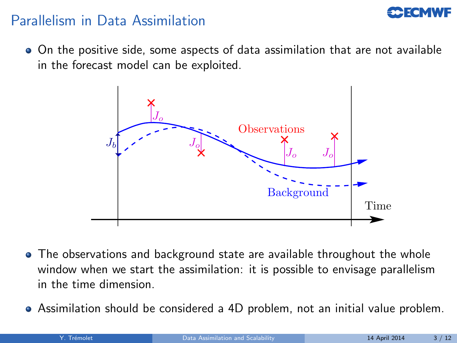### Parallelism in Data Assimilation

On the positive side, some aspects of data assimilation that are not available in the forecast model can be exploited.



- The observations and background state are available throughout the whole window when we start the assimilation: it is possible to envisage parallelism in the time dimension.
- Assimilation should be considered a 4D problem, not an initial value problem.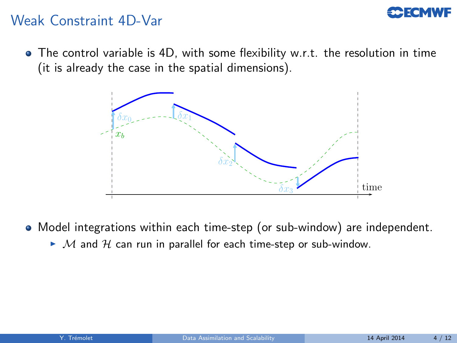#### Weak Constraint 4D-Var

• The control variable is 4D, with some flexibility w.r.t. the resolution in time (it is already the case in the spatial dimensions).



- Model integrations within each time-step (or sub-window) are independent.
	- $\blacktriangleright$  M and H can run in parallel for each time-step or sub-window.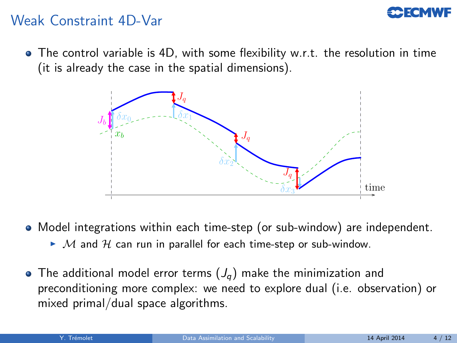#### Weak Constraint 4D-Var

• The control variable is 4D, with some flexibility w.r.t. the resolution in time (it is already the case in the spatial dimensions).



• Model integrations within each time-step (or sub-window) are independent.

- $\blacktriangleright$  M and H can run in parallel for each time-step or sub-window.
- The additional model error terms  $(J_q)$  make the minimization and preconditioning more complex: we need to explore dual (i.e. observation) or mixed primal/dual space algorithms.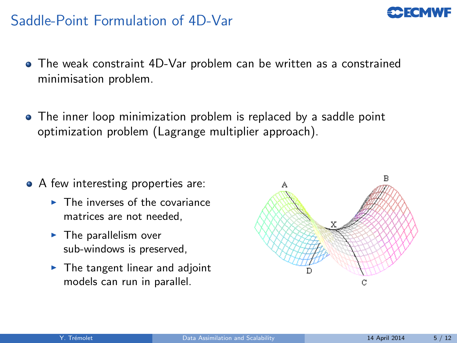### Saddle-Point Formulation of 4D-Var

- The weak constraint 4D-Var problem can be written as a constrained minimisation problem.
- The inner loop minimization problem is replaced by a saddle point optimization problem (Lagrange multiplier approach).

- A few interesting properties are:
	- $\blacktriangleright$  The inverses of the covariance matrices are not needed,
	- $\blacktriangleright$  The parallelism over sub-windows is preserved,
	- $\blacktriangleright$  The tangent linear and adjoint models can run in parallel.



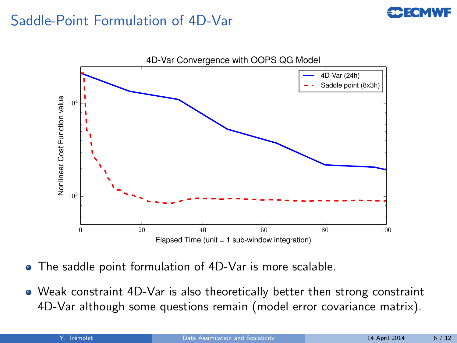### Saddle-Point Formulation of 4D-Var



- The saddle point formulation of 4D-Var is more scalable.
- Weak constraint 4D-Var is also theoretically better then strong constraint 4D-Var although some questions remain (model error covariance matrix).

**CCFCMWF**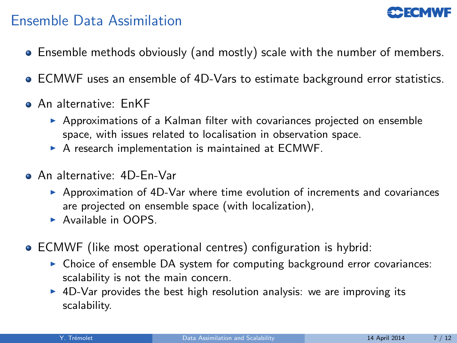### Ensemble Data Assimilation

- Ensemble methods obviously (and mostly) scale with the number of members.
- ECMWF uses an ensemble of 4D-Vars to estimate background error statistics.
- **An alternative: EnKF** 
	- $\triangleright$  Approximations of a Kalman filter with covariances projected on ensemble space, with issues related to localisation in observation space.
	- $\triangleright$  A research implementation is maintained at ECMWF.
- An alternative: 4D-En-Var
	- $\triangleright$  Approximation of 4D-Var where time evolution of increments and covariances are projected on ensemble space (with localization),
	- $\blacktriangleright$  Available in OOPS.
- ECMWF (like most operational centres) configuration is hybrid:
	- $\triangleright$  Choice of ensemble DA system for computing background error covariances: scalability is not the main concern.
	- $\triangleright$  4D-Var provides the best high resolution analysis: we are improving its scalability.

**PECMWE**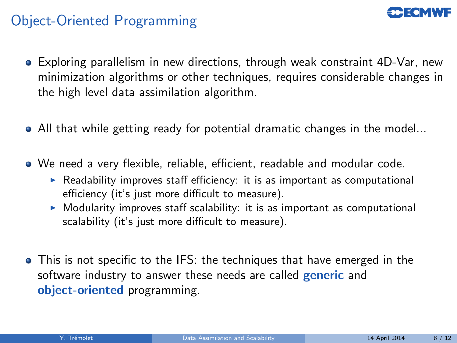#### Object-Oriented Programming

- Exploring parallelism in new directions, through weak constraint 4D-Var, new minimization algorithms or other techniques, requires considerable changes in the high level data assimilation algorithm.
- All that while getting ready for potential dramatic changes in the model...
- We need a very flexible, reliable, efficient, readable and modular code.
	- Readability improves staff efficiency: it is as important as computational efficiency (it's just more difficult to measure).
	- $\triangleright$  Modularity improves staff scalability: it is as important as computational scalability (it's just more difficult to measure).
- This is not specific to the IFS: the techniques that have emerged in the software industry to answer these needs are called **generic** and object-oriented programming.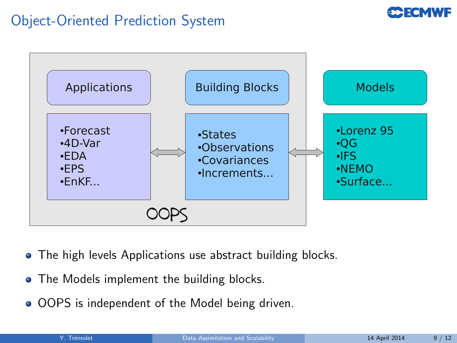## Object-Oriented Prediction System



- The high levels Applications use abstract building blocks.
- The Models implement the building blocks.
- OOPS is independent of the Model being driven.

**CCECMWF**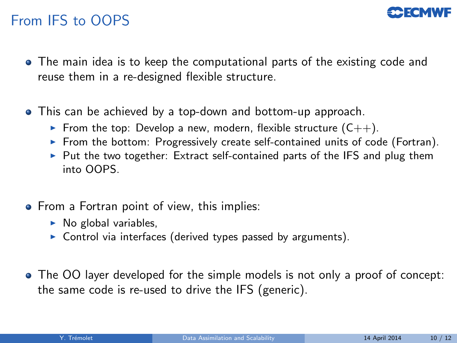### From IFS to OOPS

- The main idea is to keep the computational parts of the existing code and reuse them in a re-designed flexible structure.
- This can be achieved by a top-down and bottom-up approach.
	- From the top: Develop a new, modern, flexible structure  $(C_{++})$ .
	- From the bottom: Progressively create self-contained units of code (Fortran).
	- $\triangleright$  Put the two together: Extract self-contained parts of the IFS and plug them into OOPS.
- From a Fortran point of view, this implies:
	- $\triangleright$  No global variables,
	- $\triangleright$  Control via interfaces (derived types passed by arguments).
- The OO layer developed for the simple models is not only a proof of concept: the same code is re-used to drive the IFS (generic).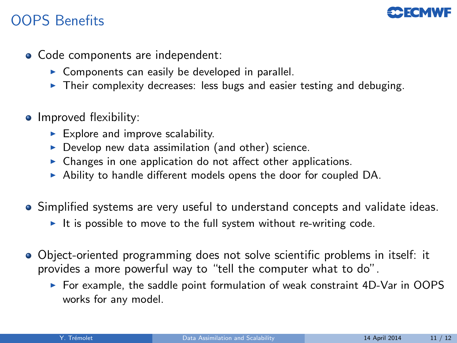## OOPS Benefits



- Code components are independent:
	- $\triangleright$  Components can easily be developed in parallel.
	- $\triangleright$  Their complexity decreases: less bugs and easier testing and debuging.
- Improved flexibility:
	- $\blacktriangleright$  Explore and improve scalability.
	- $\triangleright$  Develop new data assimilation (and other) science.
	- $\triangleright$  Changes in one application do not affect other applications.
	- $\triangleright$  Ability to handle different models opens the door for coupled DA.
- Simplified systems are very useful to understand concepts and validate ideas.
	- It is possible to move to the full system without re-writing code.
- Object-oriented programming does not solve scientific problems in itself: it provides a more powerful way to "tell the computer what to do".
	- $\triangleright$  For example, the saddle point formulation of weak constraint 4D-Var in OOPS works for any model.